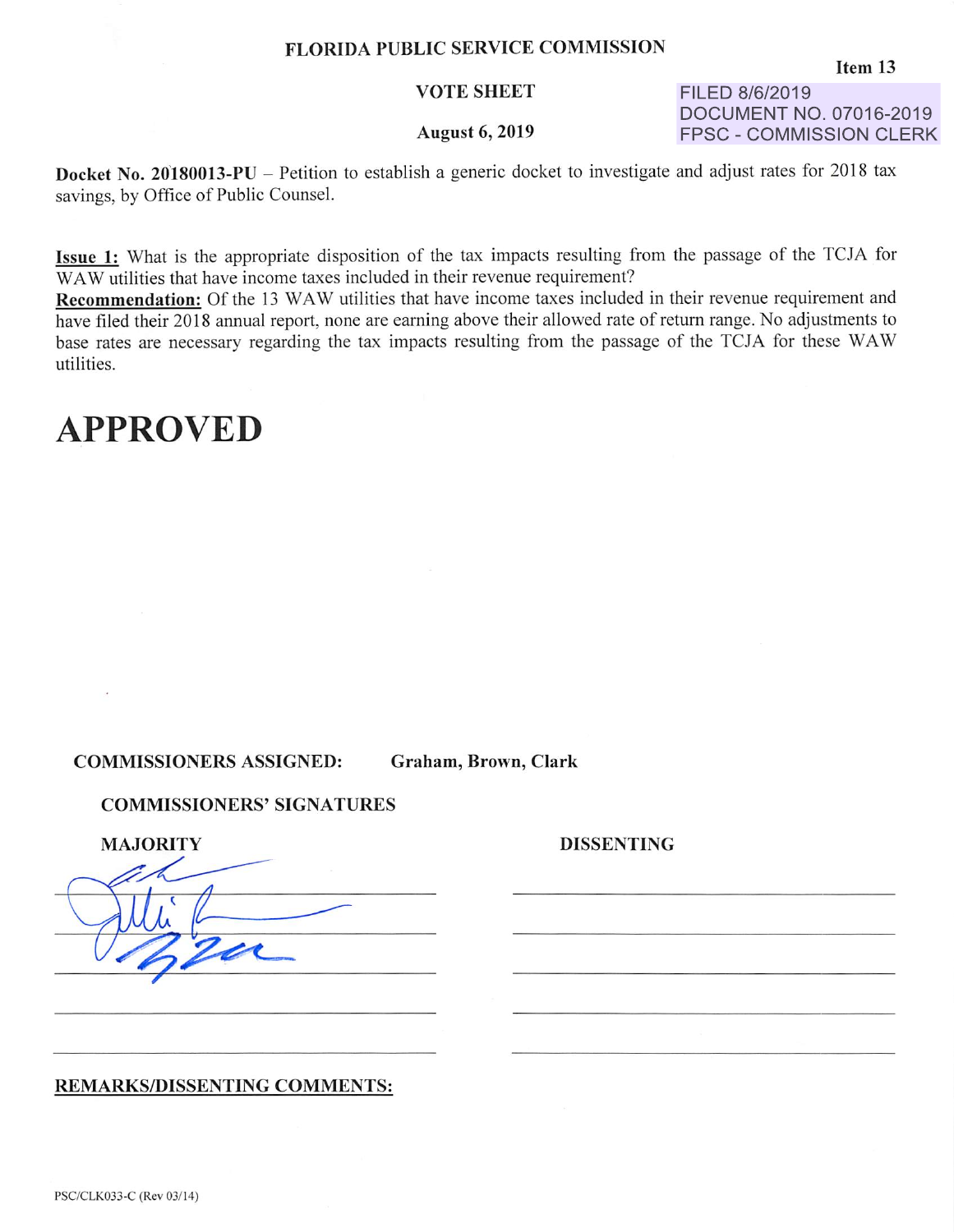#### FLORIDA PUBLIC SERVICE COMMISSION

#### VOTE SHEET

#### August 6, 2019

FILED 8/6/2019 DOCUMENT NO. 07016-2019 FPSC - COMMISSION CLERK

Docket No. 20'180013-PU - Petition to establish a generic docket to investigate and adjust rates for 2018 tax savings, by Office of Public Counsel.

Issue 1: What is the appropriate disposition of the tax impacts resulting from the passage of the TCJA for WAW utilities that have income taxes included in their revenue requirement?

Recommendation: Of the 13 WAW utilities that have income taxes included in their revenue requirement and have filed their 2018 annual report, none are earning above their allowed rate of return range. No adjustments to base rates are necessary regarding the tax impacts resulting from the passage of the TCJA for these WA W utilities.

## **APPROVED**

COMMISSIONERS ASSIGNED: Graham, Brown, Clark

#### COMMISSIONERS' SIGNATURES

| <b>MAJORITY</b> | <b>DISSENTING</b> |
|-----------------|-------------------|
|                 |                   |
|                 |                   |
|                 |                   |
|                 |                   |
|                 |                   |

#### REMARKS/DISSENTING COMMENTS: